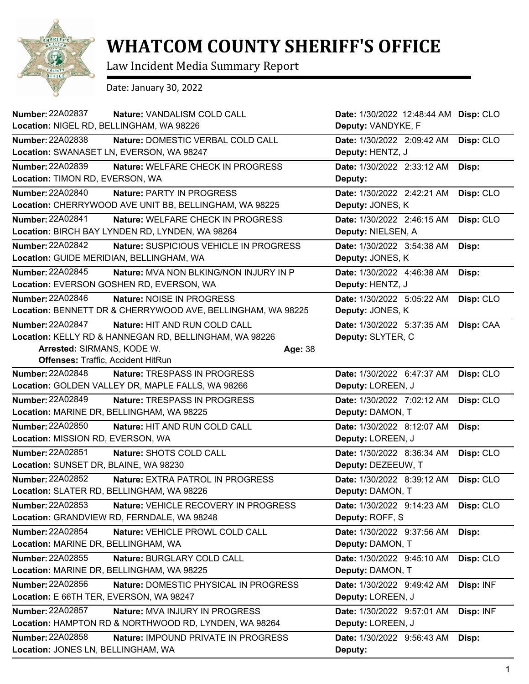

## **WHATCOM COUNTY SHERIFF'S OFFICE**

Law Incident Media Summary Report

Date: January 30, 2022

| <b>Number: 22A02837</b><br>Nature: VANDALISM COLD CALL<br>Location: NIGEL RD, BELLINGHAM, WA 98226                                                                                                | Date: 1/30/2022 12:48:44 AM<br>Deputy: VANDYKE, F | Disp: CLO |
|---------------------------------------------------------------------------------------------------------------------------------------------------------------------------------------------------|---------------------------------------------------|-----------|
|                                                                                                                                                                                                   |                                                   |           |
| Number: 22A02838<br>Nature: DOMESTIC VERBAL COLD CALL<br>Location: SWANASET LN, EVERSON, WA 98247                                                                                                 | Date: 1/30/2022 2:09:42 AM<br>Deputy: HENTZ, J    | Disp: CLO |
| <b>Number: 22A02839</b><br>Nature: WELFARE CHECK IN PROGRESS<br>Location: TIMON RD, EVERSON, WA                                                                                                   | Date: 1/30/2022 2:33:12 AM<br>Deputy:             | Disp:     |
| <b>Number: 22A02840</b><br>Nature: PARTY IN PROGRESS<br>Location: CHERRYWOOD AVE UNIT BB, BELLINGHAM, WA 98225                                                                                    | Date: 1/30/2022 2:42:21 AM<br>Deputy: JONES, K    | Disp: CLO |
| <b>Number: 22A02841</b><br>Nature: WELFARE CHECK IN PROGRESS<br>Location: BIRCH BAY LYNDEN RD, LYNDEN, WA 98264                                                                                   | Date: 1/30/2022 2:46:15 AM<br>Deputy: NIELSEN, A  | Disp: CLO |
| Number: 22A02842<br>Nature: SUSPICIOUS VEHICLE IN PROGRESS<br>Location: GUIDE MERIDIAN, BELLINGHAM, WA                                                                                            | Date: 1/30/2022 3:54:38 AM<br>Deputy: JONES, K    | Disp:     |
| <b>Number: 22A02845</b><br><b>Nature: MVA NON BLKING/NON INJURY IN P</b><br>Location: EVERSON GOSHEN RD, EVERSON, WA                                                                              | Date: 1/30/2022 4:46:38 AM<br>Deputy: HENTZ, J    | Disp:     |
| Number: 22A02846<br>Nature: NOISE IN PROGRESS<br>Location: BENNETT DR & CHERRYWOOD AVE, BELLINGHAM, WA 98225                                                                                      | Date: 1/30/2022 5:05:22 AM<br>Deputy: JONES, K    | Disp: CLO |
| Number: 22A02847<br>Nature: HIT AND RUN COLD CALL<br>Location: KELLY RD & HANNEGAN RD, BELLINGHAM, WA 98226<br>Arrested: SIRMANS, KODE W.<br>Age: 38<br><b>Offenses: Traffic, Accident HitRun</b> | Date: 1/30/2022 5:37:35 AM<br>Deputy: SLYTER, C   | Disp: CAA |
| <b>Number: 22A02848</b><br>Nature: TRESPASS IN PROGRESS<br>Location: GOLDEN VALLEY DR, MAPLE FALLS, WA 98266                                                                                      | Date: 1/30/2022 6:47:37 AM<br>Deputy: LOREEN, J   | Disp: CLO |
| <b>Number: 22A02849</b><br>Nature: TRESPASS IN PROGRESS<br>Location: MARINE DR, BELLINGHAM, WA 98225                                                                                              | Date: 1/30/2022 7:02:12 AM<br>Deputy: DAMON, T    | Disp: CLO |
| Number: 22A02850<br>Nature: HIT AND RUN COLD CALL<br>Location: MISSION RD, EVERSON, WA                                                                                                            | Date: 1/30/2022 8:12:07 AM<br>Deputy: LOREEN, J   | Disp:     |
| <b>Number: 22A02851</b><br>Nature: SHOTS COLD CALL<br>Location: SUNSET DR, BLAINE, WA 98230                                                                                                       | Date: 1/30/2022 8:36:34 AM<br>Deputy: DEZEEUW, T  | Disp: CLO |
| <b>Number: 22A02852</b><br><b>Nature: EXTRA PATROL IN PROGRESS</b><br>Location: SLATER RD, BELLINGHAM, WA 98226                                                                                   | Date: 1/30/2022 8:39:12 AM<br>Deputy: DAMON, T    | Disp: CLO |
| Number: 22A02853<br>Nature: VEHICLE RECOVERY IN PROGRESS<br>Location: GRANDVIEW RD, FERNDALE, WA 98248                                                                                            | Date: 1/30/2022 9:14:23 AM<br>Deputy: ROFF, S     | Disp: CLO |
| Number: 22A02854<br>Nature: VEHICLE PROWL COLD CALL<br>Location: MARINE DR, BELLINGHAM, WA                                                                                                        | Date: 1/30/2022 9:37:56 AM<br>Deputy: DAMON, T    | Disp:     |
| Number: 22A02855<br>Nature: BURGLARY COLD CALL<br>Location: MARINE DR, BELLINGHAM, WA 98225                                                                                                       | Date: 1/30/2022 9:45:10 AM<br>Deputy: DAMON, T    | Disp: CLO |
| Number: 22A02856<br>Nature: DOMESTIC PHYSICAL IN PROGRESS<br>Location: E 66TH TER, EVERSON, WA 98247                                                                                              | Date: 1/30/2022 9:49:42 AM<br>Deputy: LOREEN, J   | Disp: INF |
| Number: 22A02857<br>Nature: MVA INJURY IN PROGRESS<br>Location: HAMPTON RD & NORTHWOOD RD, LYNDEN, WA 98264                                                                                       | Date: 1/30/2022 9:57:01 AM<br>Deputy: LOREEN, J   | Disp: INF |
| Number: 22A02858<br><b>Nature: IMPOUND PRIVATE IN PROGRESS</b><br>Location: JONES LN, BELLINGHAM, WA                                                                                              | Date: 1/30/2022 9:56:43 AM<br>Deputy:             | Disp:     |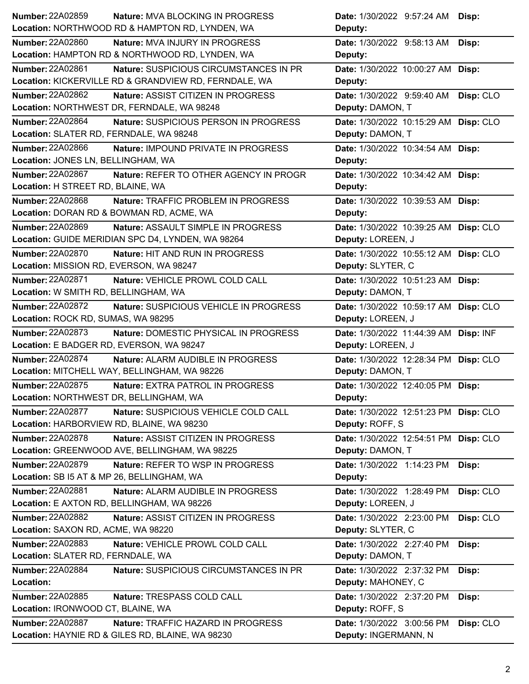| Number: 22A02859                                  | <b>Nature: MVA BLOCKING IN PROGRESS</b>               | Date: 1/30/2022 9:57:24 AM Disp:      |           |
|---------------------------------------------------|-------------------------------------------------------|---------------------------------------|-----------|
| Location: NORTHWOOD RD & HAMPTON RD, LYNDEN, WA   |                                                       | Deputy:                               |           |
| <b>Number: 22A02860</b>                           | Nature: MVA INJURY IN PROGRESS                        | Date: 1/30/2022 9:58:13 AM            | Disp:     |
| Location: HAMPTON RD & NORTHWOOD RD, LYNDEN, WA   |                                                       | Deputy:                               |           |
| Number: 22A02861                                  | Nature: SUSPICIOUS CIRCUMSTANCES IN PR                | Date: 1/30/2022 10:00:27 AM Disp:     |           |
|                                                   | Location: KICKERVILLE RD & GRANDVIEW RD, FERNDALE, WA | Deputy:                               |           |
| <b>Number: 22A02862</b>                           | Nature: ASSIST CITIZEN IN PROGRESS                    | <b>Date:</b> 1/30/2022 9:59:40 AM     | Disp: CLO |
| Location: NORTHWEST DR, FERNDALE, WA 98248        |                                                       | Deputy: DAMON, T                      |           |
| <b>Number: 22A02864</b>                           | Nature: SUSPICIOUS PERSON IN PROGRESS                 | Date: 1/30/2022 10:15:29 AM Disp: CLO |           |
| Location: SLATER RD, FERNDALE, WA 98248           |                                                       | Deputy: DAMON, T                      |           |
| <b>Number: 22A02866</b>                           | Nature: IMPOUND PRIVATE IN PROGRESS                   | Date: 1/30/2022 10:34:54 AM Disp:     |           |
| Location: JONES LN, BELLINGHAM, WA                |                                                       | Deputy:                               |           |
| Number: 22A02867                                  | Nature: REFER TO OTHER AGENCY IN PROGR                | Date: 1/30/2022 10:34:42 AM Disp:     |           |
| Location: H STREET RD, BLAINE, WA                 |                                                       | Deputy:                               |           |
| Number: 22A02868                                  | Nature: TRAFFIC PROBLEM IN PROGRESS                   | Date: 1/30/2022 10:39:53 AM Disp:     |           |
| Location: DORAN RD & BOWMAN RD, ACME, WA          |                                                       | Deputy:                               |           |
| <b>Number: 22A02869</b>                           | Nature: ASSAULT SIMPLE IN PROGRESS                    | Date: 1/30/2022 10:39:25 AM Disp: CLO |           |
| Location: GUIDE MERIDIAN SPC D4, LYNDEN, WA 98264 |                                                       | Deputy: LOREEN, J                     |           |
| Number: 22A02870                                  | Nature: HIT AND RUN IN PROGRESS                       | Date: 1/30/2022 10:55:12 AM Disp: CLO |           |
| Location: MISSION RD, EVERSON, WA 98247           |                                                       | Deputy: SLYTER, C                     |           |
| <b>Number: 22A02871</b>                           | Nature: VEHICLE PROWL COLD CALL                       | Date: 1/30/2022 10:51:23 AM Disp:     |           |
| Location: W SMITH RD, BELLINGHAM, WA              |                                                       | Deputy: DAMON, T                      |           |
| Number: 22A02872                                  | Nature: SUSPICIOUS VEHICLE IN PROGRESS                | Date: 1/30/2022 10:59:17 AM Disp: CLO |           |
| Location: ROCK RD, SUMAS, WA 98295                |                                                       | Deputy: LOREEN, J                     |           |
|                                                   |                                                       |                                       |           |
| <b>Number: 22A02873</b>                           | Nature: DOMESTIC PHYSICAL IN PROGRESS                 | Date: 1/30/2022 11:44:39 AM Disp: INF |           |
| Location: E BADGER RD, EVERSON, WA 98247          |                                                       | Deputy: LOREEN, J                     |           |
| Number: 22A02874                                  | Nature: ALARM AUDIBLE IN PROGRESS                     | Date: 1/30/2022 12:28:34 PM Disp: CLO |           |
| Location: MITCHELL WAY, BELLINGHAM, WA 98226      |                                                       | Deputy: DAMON, T                      |           |
| <b>Number: 22A02875</b>                           | <b>Nature: EXTRA PATROL IN PROGRESS</b>               | Date: 1/30/2022 12:40:05 PM Disp:     |           |
| Location: NORTHWEST DR, BELLINGHAM, WA            |                                                       | Deputy:                               |           |
| <b>Number: 22A02877</b>                           | Nature: SUSPICIOUS VEHICLE COLD CALL                  | Date: 1/30/2022 12:51:23 PM Disp: CLO |           |
| Location: HARBORVIEW RD, BLAINE, WA 98230         |                                                       | Deputy: ROFF, S                       |           |
| <b>Number: 22A02878</b>                           | Nature: ASSIST CITIZEN IN PROGRESS                    | Date: 1/30/2022 12:54:51 PM Disp: CLO |           |
| Location: GREENWOOD AVE, BELLINGHAM, WA 98225     |                                                       | Deputy: DAMON, T                      |           |
| <b>Number: 22A02879</b>                           | Nature: REFER TO WSP IN PROGRESS                      | Date: 1/30/2022 1:14:23 PM            | Disp:     |
| Location: SB I5 AT & MP 26, BELLINGHAM, WA        |                                                       | Deputy:                               |           |
| Number: 22A02881                                  | Nature: ALARM AUDIBLE IN PROGRESS                     | Date: 1/30/2022 1:28:49 PM Disp: CLO  |           |
| Location: E AXTON RD, BELLINGHAM, WA 98226        |                                                       | Deputy: LOREEN, J                     |           |
| Number: 22A02882                                  | Nature: ASSIST CITIZEN IN PROGRESS                    | Date: 1/30/2022 2:23:00 PM            | Disp: CLO |
| Location: SAXON RD, ACME, WA 98220                |                                                       | Deputy: SLYTER, C                     |           |
| Number: 22A02883                                  | Nature: VEHICLE PROWL COLD CALL                       | Date: 1/30/2022 2:27:40 PM            | Disp:     |
| Location: SLATER RD, FERNDALE, WA                 |                                                       | Deputy: DAMON, T                      |           |
| Number: 22A02884                                  | Nature: SUSPICIOUS CIRCUMSTANCES IN PR                | Date: 1/30/2022 2:37:32 PM            | Disp:     |
| Location:                                         |                                                       | Deputy: MAHONEY, C                    |           |
| Number: 22A02885                                  | Nature: TRESPASS COLD CALL                            | Date: 1/30/2022 2:37:20 PM            | Disp:     |
| Location: IRONWOOD CT, BLAINE, WA                 |                                                       | Deputy: ROFF, S                       |           |
| Number: 22A02887                                  | Nature: TRAFFIC HAZARD IN PROGRESS                    | Date: 1/30/2022 3:00:56 PM            | Disp: CLO |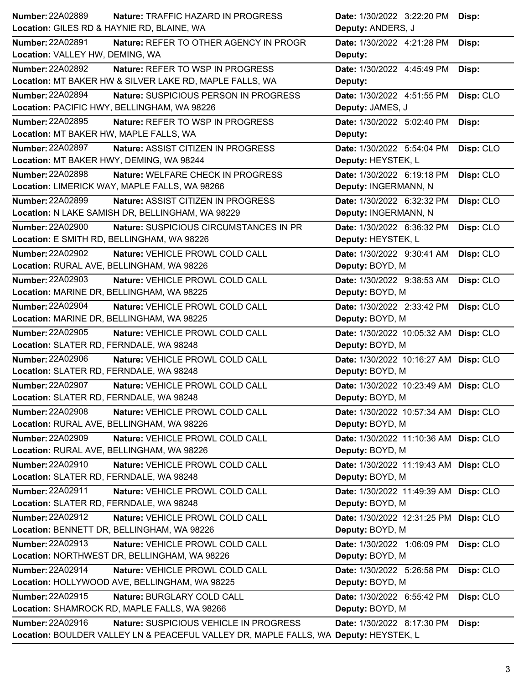| Number: 22A02889<br><b>Nature: TRAFFIC HAZARD IN PROGRESS</b>                        | Date: 1/30/2022 3:22:20 PM<br>Disp:     |
|--------------------------------------------------------------------------------------|-----------------------------------------|
| Location: GILES RD & HAYNIE RD, BLAINE, WA                                           | Deputy: ANDERS, J                       |
| Number: 22A02891<br>Nature: REFER TO OTHER AGENCY IN PROGR                           | Date: 1/30/2022 4:21:28 PM<br>Disp:     |
| Location: VALLEY HW, DEMING, WA                                                      | Deputy:                                 |
| <b>Number: 22A02892</b><br><b>Nature: REFER TO WSP IN PROGRESS</b>                   | Date: 1/30/2022 4:45:49 PM<br>Disp:     |
| Location: MT BAKER HW & SILVER LAKE RD, MAPLE FALLS, WA                              | Deputy:                                 |
| <b>Number: 22A02894</b><br>Nature: SUSPICIOUS PERSON IN PROGRESS                     | Date: 1/30/2022 4:51:55 PM<br>Disp: CLO |
| Location: PACIFIC HWY, BELLINGHAM, WA 98226                                          | Deputy: JAMES, J                        |
| Number: 22A02895<br>Nature: REFER TO WSP IN PROGRESS                                 | Date: 1/30/2022 5:02:40 PM<br>Disp:     |
| Location: MT BAKER HW, MAPLE FALLS, WA                                               | Deputy:                                 |
| Number: 22A02897<br>Nature: ASSIST CITIZEN IN PROGRESS                               | Date: 1/30/2022 5:54:04 PM<br>Disp: CLO |
| Location: MT BAKER HWY, DEMING, WA 98244                                             | Deputy: HEYSTEK, L                      |
| Number: 22A02898<br>Nature: WELFARE CHECK IN PROGRESS                                | Date: 1/30/2022 6:19:18 PM<br>Disp: CLO |
| Location: LIMERICK WAY, MAPLE FALLS, WA 98266                                        | Deputy: INGERMANN, N                    |
| Number: 22A02899<br>Nature: ASSIST CITIZEN IN PROGRESS                               | Date: 1/30/2022 6:32:32 PM<br>Disp: CLO |
| Location: N LAKE SAMISH DR, BELLINGHAM, WA 98229                                     | Deputy: INGERMANN, N                    |
| <b>Number: 22A02900</b><br>Nature: SUSPICIOUS CIRCUMSTANCES IN PR                    | Date: 1/30/2022 6:36:32 PM<br>Disp: CLO |
| Location: E SMITH RD, BELLINGHAM, WA 98226                                           | Deputy: HEYSTEK, L                      |
| Number: 22A02902<br>Nature: VEHICLE PROWL COLD CALL                                  | Disp: CLO<br>Date: 1/30/2022 9:30:41 AM |
| Location: RURAL AVE, BELLINGHAM, WA 98226                                            | Deputy: BOYD, M                         |
| Number: 22A02903<br>Nature: VEHICLE PROWL COLD CALL                                  | Date: 1/30/2022 9:38:53 AM<br>Disp: CLO |
| Location: MARINE DR, BELLINGHAM, WA 98225                                            | Deputy: BOYD, M                         |
| <b>Number: 22A02904</b><br>Nature: VEHICLE PROWL COLD CALL                           | Date: 1/30/2022 2:33:42 PM<br>Disp: CLO |
| Location: MARINE DR, BELLINGHAM, WA 98225                                            | Deputy: BOYD, M                         |
| <b>Number: 22A02905</b><br>Nature: VEHICLE PROWL COLD CALL                           | Date: 1/30/2022 10:05:32 AM Disp: CLO   |
| Location: SLATER RD, FERNDALE, WA 98248                                              | Deputy: BOYD, M                         |
| <b>Number: 22A02906</b><br>Nature: VEHICLE PROWL COLD CALL                           | Date: 1/30/2022 10:16:27 AM Disp: CLO   |
| Location: SLATER RD, FERNDALE, WA 98248                                              | Deputy: BOYD, M                         |
| <b>Number: 22A02907</b><br>Nature: VEHICLE PROWL COLD CALL                           | Date: 1/30/2022 10:23:49 AM Disp: CLO   |
| Location: SLATER RD, FERNDALE, WA 98248                                              | Deputy: BOYD, M                         |
| <b>Number: 22A02908</b><br>Nature: VEHICLE PROWL COLD CALL                           | Date: 1/30/2022 10:57:34 AM Disp: CLO   |
| Location: RURAL AVE, BELLINGHAM, WA 98226                                            | Deputy: BOYD, M                         |
| Number: 22A02909<br>Nature: VEHICLE PROWL COLD CALL                                  | Date: 1/30/2022 11:10:36 AM Disp: CLO   |
| Location: RURAL AVE, BELLINGHAM, WA 98226                                            | Deputy: BOYD, M                         |
| Number: 22A02910<br>Nature: VEHICLE PROWL COLD CALL                                  | Date: 1/30/2022 11:19:43 AM Disp: CLO   |
| Location: SLATER RD, FERNDALE, WA 98248                                              | Deputy: BOYD, M                         |
| Number: 22A02911<br>Nature: VEHICLE PROWL COLD CALL                                  | Date: 1/30/2022 11:49:39 AM Disp: CLO   |
| Location: SLATER RD, FERNDALE, WA 98248                                              | Deputy: BOYD, M                         |
| Number: 22A02912<br>Nature: VEHICLE PROWL COLD CALL                                  | Date: 1/30/2022 12:31:25 PM Disp: CLO   |
| Location: BENNETT DR, BELLINGHAM, WA 98226                                           | Deputy: BOYD, M                         |
| Number: 22A02913<br>Nature: VEHICLE PROWL COLD CALL                                  | Date: 1/30/2022 1:06:09 PM<br>Disp: CLO |
| Location: NORTHWEST DR, BELLINGHAM, WA 98226                                         | Deputy: BOYD, M                         |
| Number: 22A02914<br>Nature: VEHICLE PROWL COLD CALL                                  | Disp: CLO<br>Date: 1/30/2022 5:26:58 PM |
| Location: HOLLYWOOD AVE, BELLINGHAM, WA 98225                                        | Deputy: BOYD, M                         |
| Number: 22A02915<br>Nature: BURGLARY COLD CALL                                       | Disp: CLO<br>Date: 1/30/2022 6:55:42 PM |
| Location: SHAMROCK RD, MAPLE FALLS, WA 98266                                         | Deputy: BOYD, M                         |
| Number: 22A02916<br>Nature: SUSPICIOUS VEHICLE IN PROGRESS                           | Date: 1/30/2022 8:17:30 PM<br>Disp:     |
| Location: BOULDER VALLEY LN & PEACEFUL VALLEY DR, MAPLE FALLS, WA Deputy: HEYSTEK, L |                                         |
|                                                                                      |                                         |